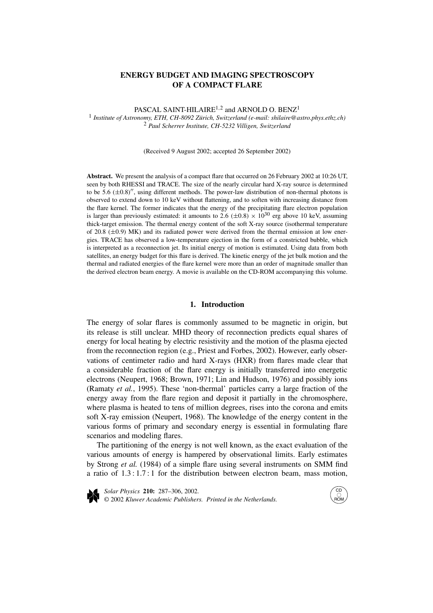# **ENERGY BUDGET AND IMAGING SPECTROSCOPY OF A COMPACT FLARE**

PASCAL SAINT-HILAIRE<sup>1,2</sup> and ARNOLD O. BENZ<sup>1</sup>

<sup>1</sup> *Institute of Astronomy, ETH, CH-8092 Zürich, Switzerland (e-mail: shilaire@astro.phys.ethz.ch)* <sup>2</sup> *Paul Scherrer Institute, CH-5232 Villigen, Switzerland*

(Received 9 August 2002; accepted 26 September 2002)

**Abstract.** We present the analysis of a compact flare that occurred on 26 February 2002 at 10:26 UT, seen by both RHESSI and TRACE. The size of the nearly circular hard X-ray source is determined to be 5.6  $(\pm 0.8)$ <sup>"</sup>, using different methods. The power-law distribution of non-thermal photons is observed to extend down to 10 keV without flattening, and to soften with increasing distance from the flare kernel. The former indicates that the energy of the precipitating flare electron population is larger than previously estimated: it amounts to 2.6  $(\pm 0.8) \times 10^{30}$  erg above 10 keV, assuming thick-target emission. The thermal energy content of the soft X-ray source (isothermal temperature of 20.8 (±0*.*9) MK) and its radiated power were derived from the thermal emission at low energies. TRACE has observed a low-temperature ejection in the form of a constricted bubble, which is interpreted as a reconnection jet. Its initial energy of motion is estimated. Using data from both satellites, an energy budget for this flare is derived. The kinetic energy of the jet bulk motion and the thermal and radiated energies of the flare kernel were more than an order of magnitude smaller than the derived electron beam energy. A movie is available on the CD-ROM accompanying this volume.

#### **1. Introduction**

The energy of solar flares is commonly assumed to be magnetic in origin, but its release is still unclear. MHD theory of reconnection predicts equal shares of energy for local heating by electric resistivity and the motion of the plasma ejected from the reconnection region (e.g., Priest and Forbes, 2002). However, early observations of centimeter radio and hard X-rays (HXR) from flares made clear that a considerable fraction of the flare energy is initially transferred into energetic electrons (Neupert, 1968; Brown, 1971; Lin and Hudson, 1976) and possibly ions (Ramaty *et al.*, 1995). These 'non-thermal' particles carry a large fraction of the energy away from the flare region and deposit it partially in the chromosphere, where plasma is heated to tens of million degrees, rises into the corona and emits soft X-ray emission (Neupert, 1968). The knowledge of the energy content in the various forms of primary and secondary energy is essential in formulating flare scenarios and modeling flares.

The partitioning of the energy is not well known, as the exact evaluation of the various amounts of energy is hampered by observational limits. Early estimates by Strong *et al.* (1984) of a simple flare using several instruments on SMM find a ratio of  $1.3:1.7:1$  for the distribution between electron beam, mass motion,



*Solar Physics* **210:** 287–306, 2002. © 2002 *Kluwer Academic Publishers. Printed in the Netherlands.*

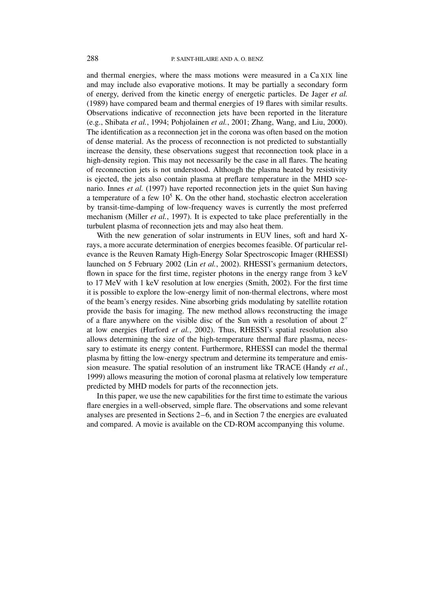and thermal energies, where the mass motions were measured in a Ca XIX line and may include also evaporative motions. It may be partially a secondary form of energy, derived from the kinetic energy of energetic particles. De Jager *et al.* (1989) have compared beam and thermal energies of 19 flares with similar results. Observations indicative of reconnection jets have been reported in the literature (e.g., Shibata *et al.*, 1994; Pohjolainen *et al.*, 2001; Zhang, Wang, and Liu, 2000). The identification as a reconnection jet in the corona was often based on the motion of dense material. As the process of reconnection is not predicted to substantially increase the density, these observations suggest that reconnection took place in a high-density region. This may not necessarily be the case in all flares. The heating of reconnection jets is not understood. Although the plasma heated by resistivity is ejected, the jets also contain plasma at preflare temperature in the MHD scenario. Innes *et al.* (1997) have reported reconnection jets in the quiet Sun having a temperature of a few  $10^5$  K. On the other hand, stochastic electron acceleration by transit-time-damping of low-frequency waves is currently the most preferred mechanism (Miller *et al.*, 1997). It is expected to take place preferentially in the turbulent plasma of reconnection jets and may also heat them.

With the new generation of solar instruments in EUV lines, soft and hard Xrays, a more accurate determination of energies becomes feasible. Of particular relevance is the Reuven Ramaty High-Energy Solar Spectroscopic Imager (RHESSI) launched on 5 February 2002 (Lin *et al.*, 2002). RHESSI's germanium detectors, flown in space for the first time, register photons in the energy range from 3 keV to 17 MeV with 1 keV resolution at low energies (Smith, 2002). For the first time it is possible to explore the low-energy limit of non-thermal electrons, where most of the beam's energy resides. Nine absorbing grids modulating by satellite rotation provide the basis for imaging. The new method allows reconstructing the image of a flare anywhere on the visible disc of the Sun with a resolution of about  $2<sup>''</sup>$ at low energies (Hurford *et al.*, 2002). Thus, RHESSI's spatial resolution also allows determining the size of the high-temperature thermal flare plasma, necessary to estimate its energy content. Furthermore, RHESSI can model the thermal plasma by fitting the low-energy spectrum and determine its temperature and emission measure. The spatial resolution of an instrument like TRACE (Handy *et al.*, 1999) allows measuring the motion of coronal plasma at relatively low temperature predicted by MHD models for parts of the reconnection jets.

In this paper, we use the new capabilities for the first time to estimate the various flare energies in a well-observed, simple flare. The observations and some relevant analyses are presented in Sections 2–6, and in Section 7 the energies are evaluated and compared. A movie is available on the CD-ROM accompanying this volume.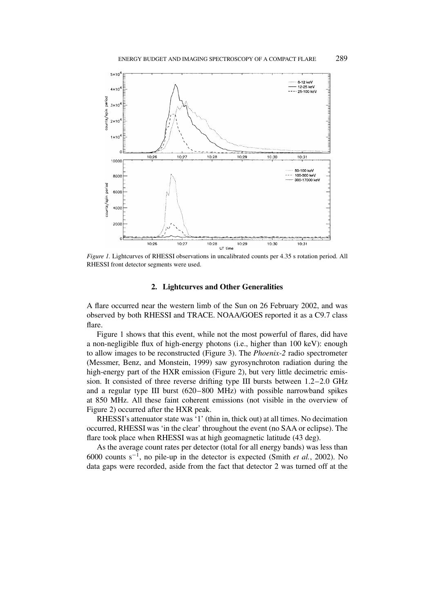

*Figure 1.* Lightcurves of RHESSI observations in uncalibrated counts per 4.35 s rotation period. All RHESSI front detector segments were used.

#### **2. Lightcurves and Other Generalities**

A flare occurred near the western limb of the Sun on 26 February 2002, and was observed by both RHESSI and TRACE. NOAA/GOES reported it as a C9.7 class flare.

Figure 1 shows that this event, while not the most powerful of flares, did have a non-negligible flux of high-energy photons (i.e., higher than 100 keV): enough to allow images to be reconstructed (Figure 3). The *Phoenix-2* radio spectrometer (Messmer, Benz, and Monstein, 1999) saw gyrosynchroton radiation during the high-energy part of the HXR emission (Figure 2), but very little decimetric emission. It consisted of three reverse drifting type III bursts between 1.2–2.0 GHz and a regular type III burst (620–800 MHz) with possible narrowband spikes at 850 MHz. All these faint coherent emissions (not visible in the overview of Figure 2) occurred after the HXR peak.

RHESSI's attenuator state was '1' (thin in, thick out) at all times. No decimation occurred, RHESSI was 'in the clear' throughout the event (no SAA or eclipse). The flare took place when RHESSI was at high geomagnetic latitude (43 deg).

As the average count rates per detector (total for all energy bands) was less than 6000 counts s−1, no pile-up in the detector is expected (Smith *et al.*, 2002). No data gaps were recorded, aside from the fact that detector 2 was turned off at the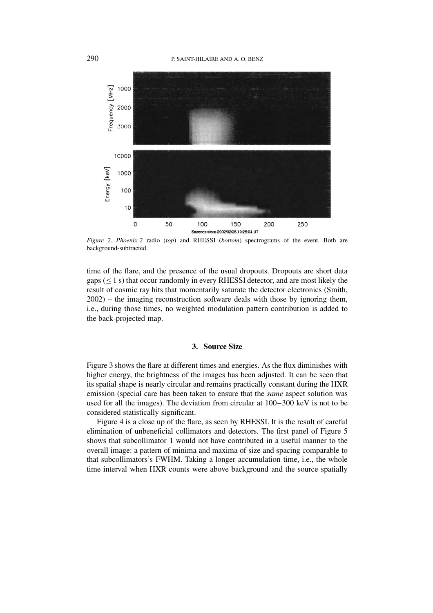

*Figure 2. Phoenix-2* radio (*top*) and RHESSI (*bottom*) spectrograms of the event. Both are background-subtracted.

time of the flare, and the presence of the usual dropouts. Dropouts are short data gaps  $(\leq 1 \text{ s})$  that occur randomly in every RHESSI detector, and are most likely the result of cosmic ray hits that momentarily saturate the detector electronics (Smith, 2002) – the imaging reconstruction software deals with those by ignoring them, i.e., during those times, no weighted modulation pattern contribution is added to the back-projected map.

## **3. Source Size**

Figure 3 shows the flare at different times and energies. As the flux diminishes with higher energy, the brightness of the images has been adjusted. It can be seen that its spatial shape is nearly circular and remains practically constant during the HXR emission (special care has been taken to ensure that the *same* aspect solution was used for all the images). The deviation from circular at 100–300 keV is not to be considered statistically significant.

Figure 4 is a close up of the flare, as seen by RHESSI. It is the result of careful elimination of unbeneficial collimators and detectors. The first panel of Figure 5 shows that subcollimator 1 would not have contributed in a useful manner to the overall image: a pattern of minima and maxima of size and spacing comparable to that subcollimators's FWHM. Taking a longer accumulation time, i.e., the whole time interval when HXR counts were above background and the source spatially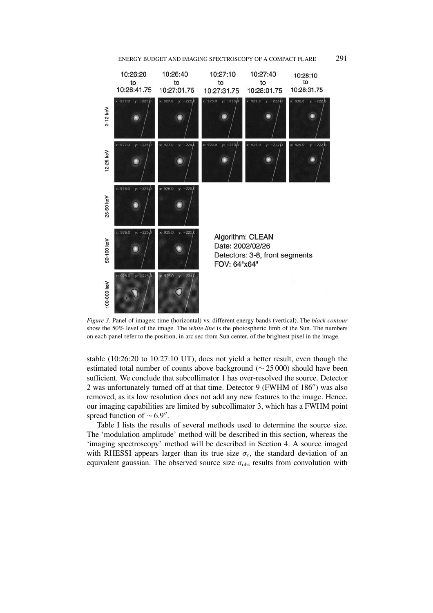



*Figure 3.* Panel of images: time (horizontal) vs. different energy bands (vertical). The *black contour* show the 50% level of the image. The *white line* is the photospheric limb of the Sun. The numbers on each panel refer to the position, in arc sec from Sun center, of the brightest pixel in the image.

stable (10:26:20 to 10:27:10 UT), does not yield a better result, even though the estimated total number of counts above background (∼ 25 000) should have been sufficient. We conclude that subcollimator 1 has over-resolved the source. Detector 2 was unfortunately turned off at that time. Detector 9 (FWHM of 186") was also removed, as its low resolution does not add any new features to the image. Hence, our imaging capabilities are limited by subcollimator 3, which has a FWHM point spread function of  $\sim$  6.9".

Table I lists the results of several methods used to determine the source size. The 'modulation amplitude' method will be described in this section, whereas the 'imaging spectroscopy' method will be described in Section 4. A source imaged with RHESSI appears larger than its true size  $\sigma_s$ , the standard deviation of an equivalent gaussian. The observed source size  $\sigma_{obs}$  results from convolution with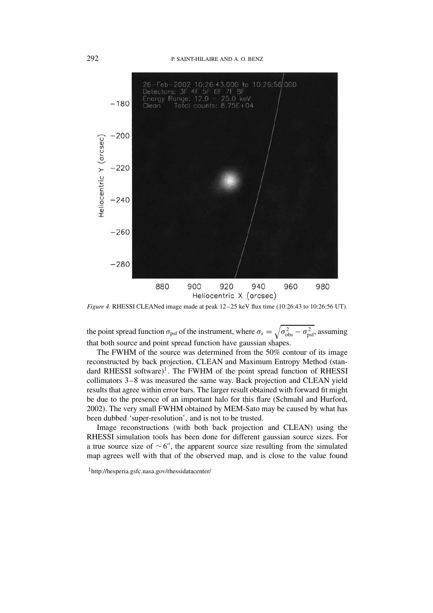#### 292 P. SAINT-HILAIRE AND A. O. BENZ



*Figure 4.* RHESSI CLEANed image made at peak 12–25 keV flux time (10:26:43 to 10:26:56 UT).

the point spread function  $\sigma_{\text{psf}}$  of the instrument, where  $\sigma_s = \sqrt{\sigma_{\text{obs}}^2 - \sigma_{\text{psf}}^2}$ , assuming that both source and point spread function have gaussian shapes.

The FWHM of the source was determined from the 50% contour of its image reconstructed by back projection, CLEAN and Maximum Entropy Method (standard RHESSI software)<sup>1</sup>. The FWHM of the point spread function of RHESSI collimators 3–8 was measured the same way. Back projection and CLEAN yield results that agree within error bars. The larger result obtained with forward fit might be due to the presence of an important halo for this flare (Schmahl and Hurford, 2002). The very small FWHM obtained by MEM-Sato may be caused by what has been dubbed 'super-resolution', and is not to be trusted.

Image reconstructions (with both back projection and CLEAN) using the RHESSI simulation tools has been done for different gaussian source sizes. For a true source size of  $\sim 6$ ", the apparent source size resulting from the simulated map agrees well with that of the observed map, and is close to the value found

<sup>1</sup>http://hesperia.gsfc.nasa.gov/rhessidatacenter/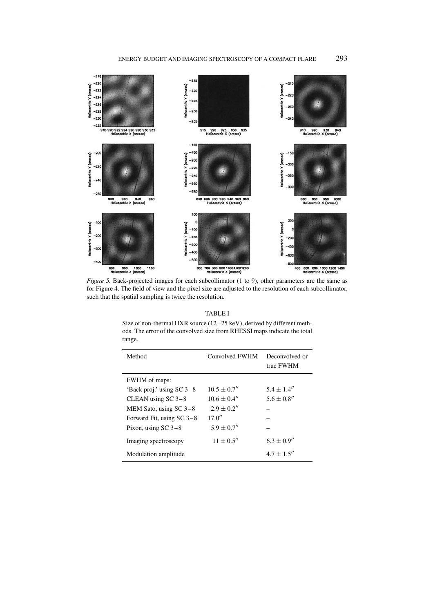

*Figure 5.* Back-projected images for each subcollimator (1 to 9), other parameters are the same as for Figure 4. The field of view and the pixel size are adjusted to the resolution of each subcollimator, such that the spatial sampling is twice the resolution.

#### TABLE I

Size of non-thermal HXR source (12–25 keV), derived by different methods. The error of the convolved size from RHESSI maps indicate the total range.

| Method                      | Convolved FWHM   | Deconvolved or<br>true FWHM |
|-----------------------------|------------------|-----------------------------|
| FWHM of maps:               |                  |                             |
| 'Back proj.' using $SC$ 3–8 | $10.5 \pm 0.7''$ | $5.4 \pm 1.4''$             |
| CLEAN using $SC$ 3-8        | $10.6 \pm 0.4''$ | $5.6 \pm 0.8''$             |
| MEM Sato, using $SC$ 3-8    | $2.9 + 0.2''$    |                             |
| Forward Fit, using $SC$ 3–8 | 17.0''           |                             |
| Pixon, using $SC$ 3-8       | $5.9 + 0.7''$    |                             |
| Imaging spectroscopy        | $11 \pm 0.5''$   | $6.3 \pm 0.9''$             |
| Modulation amplitude        |                  | $4.7 \pm 1.5''$             |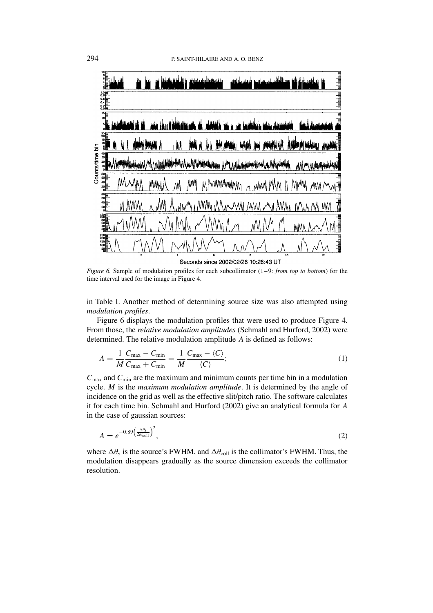

*Figure 6.* Sample of modulation profiles for each subcollimator (1–9: *from top to bottom*) for the time interval used for the image in Figure 4.

in Table I. Another method of determining source size was also attempted using *modulation profiles*.

Figure 6 displays the modulation profiles that were used to produce Figure 4. From those, the *relative modulation amplitudes* (Schmahl and Hurford, 2002) were determined. The relative modulation amplitude *A* is defined as follows:

$$
A = \frac{1}{M} \frac{C_{\text{max}} - C_{\text{min}}}{C_{\text{max}} + C_{\text{min}}} = \frac{1}{M} \frac{C_{\text{max}} - \langle C \rangle}{\langle C \rangle};
$$
\n(1)

 $C_{\text{max}}$  and  $C_{\text{min}}$  are the maximum and minimum counts per time bin in a modulation cycle. *M* is the *maximum modulation amplitude*. It is determined by the angle of incidence on the grid as well as the effective slit/pitch ratio. The software calculates it for each time bin. Schmahl and Hurford (2002) give an analytical formula for *A* in the case of gaussian sources:

$$
A = e^{-0.89 \left(\frac{\Delta \theta_s}{\Delta \theta_{\text{coll}}}\right)^2},\tag{2}
$$

where  $\Delta\theta_s$  is the source's FWHM, and  $\Delta\theta_{\text{coll}}$  is the collimator's FWHM. Thus, the modulation disappears gradually as the source dimension exceeds the collimator resolution.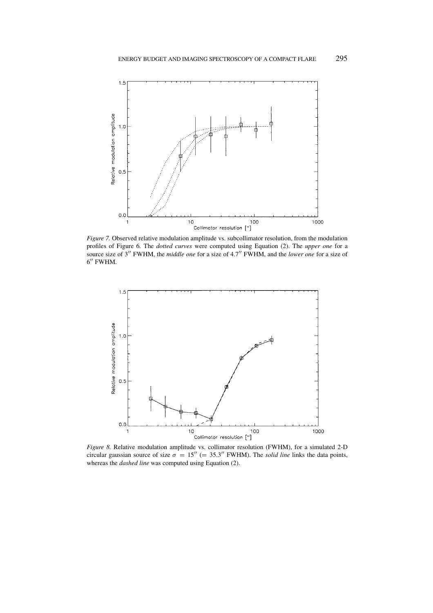

*Figure 7.* Observed relative modulation amplitude vs. subcollimator resolution, from the modulation profiles of Figure 6. The *dotted curves* were computed using Equation (2). The *upper one* for a source size of 3<sup>"</sup> FWHM, the *middle one* for a size of 4.7" FWHM, and the *lower one* for a size of 6″ FWHM.



*Figure 8.* Relative modulation amplitude vs. collimator resolution (FWHM), for a simulated 2-D circular gaussian source of size  $\sigma = 15'' (= 35.3''$  FWHM). The *solid line* links the data points, whereas the *dashed line* was computed using Equation (2).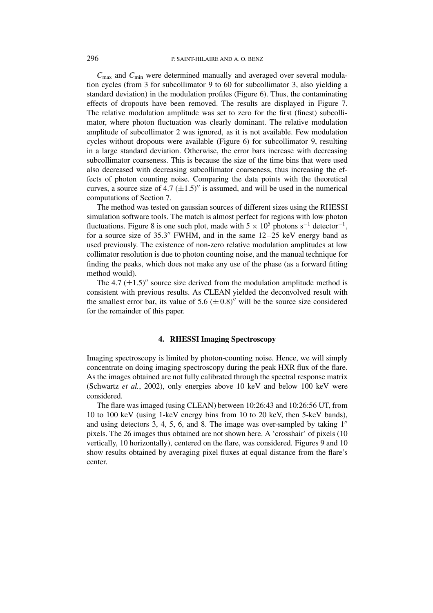*C*max and *C*min were determined manually and averaged over several modulation cycles (from 3 for subcollimator 9 to 60 for subcollimator 3, also yielding a standard deviation) in the modulation profiles (Figure 6). Thus, the contaminating effects of dropouts have been removed. The results are displayed in Figure 7. The relative modulation amplitude was set to zero for the first (finest) subcollimator, where photon fluctuation was clearly dominant. The relative modulation amplitude of subcollimator 2 was ignored, as it is not available. Few modulation cycles without dropouts were available (Figure 6) for subcollimator 9, resulting in a large standard deviation. Otherwise, the error bars increase with decreasing subcollimator coarseness. This is because the size of the time bins that were used also decreased with decreasing subcollimator coarseness, thus increasing the effects of photon counting noise. Comparing the data points with the theoretical curves, a source size of  $4.7 \ (\pm 1.5)$ " is assumed, and will be used in the numerical computations of Section 7.

The method was tested on gaussian sources of different sizes using the RHESSI simulation software tools. The match is almost perfect for regions with low photon fluctuations. Figure 8 is one such plot, made with  $5 \times 10^5$  photons s<sup>-1</sup> detector<sup>-1</sup>, for a source size of  $35.3''$  FWHM, and in the same  $12-25$  keV energy band as used previously. The existence of non-zero relative modulation amplitudes at low collimator resolution is due to photon counting noise, and the manual technique for finding the peaks, which does not make any use of the phase (as a forward fitting method would).

The 4.7  $(\pm 1.5)$ <sup>"</sup> source size derived from the modulation amplitude method is consistent with previous results. As CLEAN yielded the deconvolved result with the smallest error bar, its value of  $5.6 \ (\pm 0.8)$ <sup>"</sup> will be the source size considered for the remainder of this paper.

#### **4. RHESSI Imaging Spectroscopy**

Imaging spectroscopy is limited by photon-counting noise. Hence, we will simply concentrate on doing imaging spectroscopy during the peak HXR flux of the flare. As the images obtained are not fully calibrated through the spectral response matrix (Schwartz *et al.*, 2002), only energies above 10 keV and below 100 keV were considered.

The flare was imaged (using CLEAN) between 10:26:43 and 10:26:56 UT, from 10 to 100 keV (using 1-keV energy bins from 10 to 20 keV, then 5-keV bands), and using detectors  $3, 4, 5, 6$ , and  $8$ . The image was over-sampled by taking  $1''$ pixels. The 26 images thus obtained are not shown here. A 'crosshair' of pixels (10 vertically, 10 horizontally), centered on the flare, was considered. Figures 9 and 10 show results obtained by averaging pixel fluxes at equal distance from the flare's center.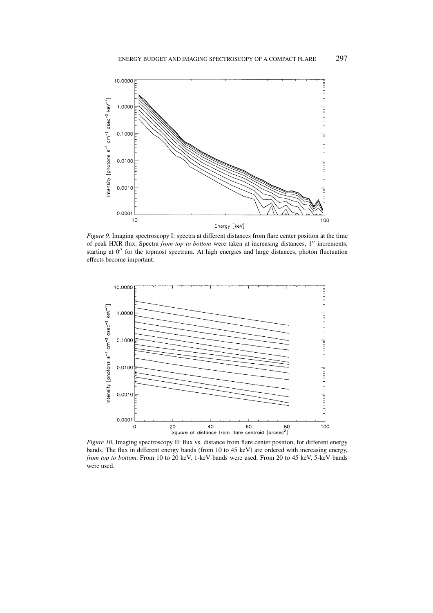

*Figure 9.* Imaging spectroscopy I: spectra at different distances from flare center position at the time of peak HXR flux. Spectra *from top to bottom* were taken at increasing distances, 1<sup>"</sup> increments, starting at  $0''$  for the topmost spectrum. At high energies and large distances, photon fluctuation effects become important.



*Figure 10.* Imaging spectroscopy II: flux vs. distance from flare center position, for different energy bands. The flux in different energy bands (from 10 to 45 keV) are ordered with increasing energy, *from top to bottom*. From 10 to 20 keV, 1-keV bands were used. From 20 to 45 keV, 5-keV bands were used.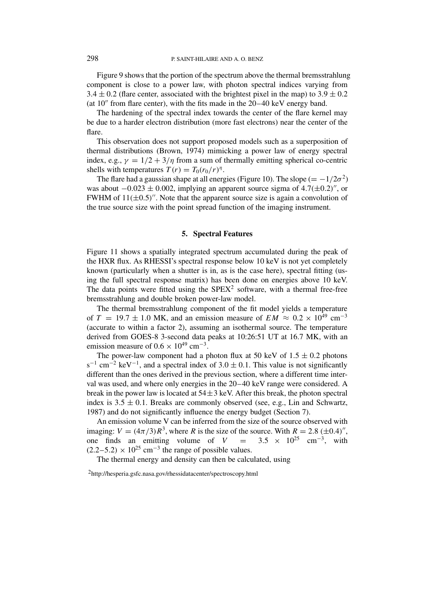Figure 9 shows that the portion of the spectrum above the thermal bremsstrahlung component is close to a power law, with photon spectral indices varying from 3.4  $\pm$  0.2 (flare center, associated with the brightest pixel in the map) to 3.9  $\pm$  0.2 (at  $10''$  from flare center), with the fits made in the  $20-40$  keV energy band.

The hardening of the spectral index towards the center of the flare kernel may be due to a harder electron distribution (more fast electrons) near the center of the flare.

This observation does not support proposed models such as a superposition of thermal distributions (Brown, 1974) mimicking a power law of energy spectral index, e.g.,  $\gamma = 1/2 + 3/\eta$  from a sum of thermally emitting spherical co-centric shells with temperatures  $T(r) = T_0(r_0/r)^{\eta}$ .

The flare had a gaussian shape at all energies (Figure 10). The slope ( $= -1/2\sigma^2$ ) was about  $-0.023 \pm 0.002$ , implying an apparent source sigma of  $4.7(\pm 0.2)^n$ , or FWHM of  $11(\pm 0.5)$ <sup>"</sup>. Note that the apparent source size is again a convolution of the true source size with the point spread function of the imaging instrument.

### **5. Spectral Features**

Figure 11 shows a spatially integrated spectrum accumulated during the peak of the HXR flux. As RHESSI's spectral response below 10 keV is not yet completely known (particularly when a shutter is in, as is the case here), spectral fitting (using the full spectral response matrix) has been done on energies above 10 keV. The data points were fitted using the  $SPEX<sup>2</sup>$  software, with a thermal free-free bremsstrahlung and double broken power-law model.

The thermal bremsstrahlung component of the fit model yields a temperature of  $T = 19.7 \pm 1.0$  MK, and an emission measure of  $EM \approx 0.2 \times 10^{49}$  cm<sup>-3</sup> (accurate to within a factor 2), assuming an isothermal source. The temperature derived from GOES-8 3-second data peaks at 10:26:51 UT at 16.7 MK, with an emission measure of  $0.6 \times 10^{49}$  cm<sup>-3</sup>.

The power-law component had a photon flux at 50 keV of  $1.5 \pm 0.2$  photons  $s^{-1}$  cm<sup>-2</sup> keV<sup>-1</sup>, and a spectral index of 3.0  $\pm$  0.1. This value is not significantly different than the ones derived in the previous section, where a different time interval was used, and where only energies in the 20–40 keV range were considered. A break in the power law is located at  $54\pm 3$  keV. After this break, the photon spectral index is  $3.5 \pm 0.1$ . Breaks are commonly observed (see, e.g., Lin and Schwartz, 1987) and do not significantly influence the energy budget (Section 7).

An emission volume V can be inferred from the size of the source observed with imaging:  $V = (4\pi/3)R^3$ , where *R* is the size of the source. With  $R = 2.8 \ (\pm 0.4)^{\prime\prime}$ , one finds an emitting volume of  $V = 3.5 \times 10^{25}$  cm<sup>-3</sup>, with  $(2.2-5.2) \times 10^{25}$  cm<sup>-3</sup> the range of possible values.

The thermal energy and density can then be calculated, using

2http://hesperia.gsfc.nasa.gov/rhessidatacenter/spectroscopy.html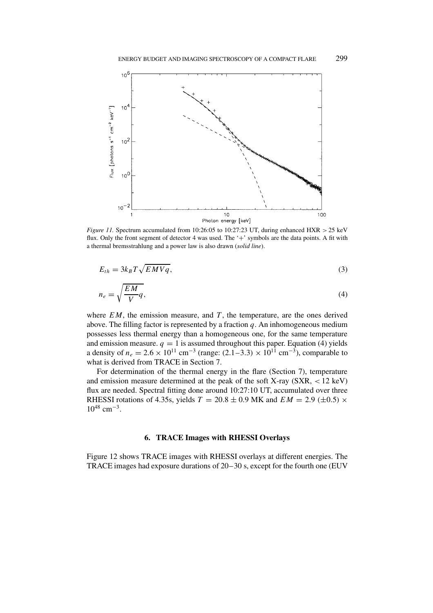

*Figure 11.* Spectrum accumulated from 10:26:05 to 10:27:23 UT, during enhanced HXR *>* 25 keV flux. Only the front segment of detector 4 was used. The '+' symbols are the data points. A fit with a thermal bremsstrahlung and a power law is also drawn (*solid line*).

$$
E_{th} = 3k_B T \sqrt{EMVq},\tag{3}
$$

$$
n_e = \sqrt{\frac{EM}{V}q},\tag{4}
$$

where  $EM$ , the emission measure, and  $T$ , the temperature, are the ones derived above. The filling factor is represented by a fraction *q*. An inhomogeneous medium possesses less thermal energy than a homogeneous one, for the same temperature and emission measure.  $q = 1$  is assumed throughout this paper. Equation (4) yields a density of  $n_e = 2.6 \times 10^{11} \text{ cm}^{-3}$  (range:  $(2.1-3.3) \times 10^{11} \text{ cm}^{-3}$ ), comparable to what is derived from TRACE in Section 7.

For determination of the thermal energy in the flare (Section 7), temperature and emission measure determined at the peak of the soft X-ray (SXR, *<* 12 keV) flux are needed. Spectral fitting done around 10:27:10 UT, accumulated over three RHESSI rotations of 4.35s, yields  $T = 20.8 \pm 0.9$  MK and  $EM = 2.9$  ( $\pm 0.5$ ) × 10<sup>48</sup> cm<sup>-3</sup>.

### **6. TRACE Images with RHESSI Overlays**

Figure 12 shows TRACE images with RHESSI overlays at different energies. The TRACE images had exposure durations of 20–30 s, except for the fourth one (EUV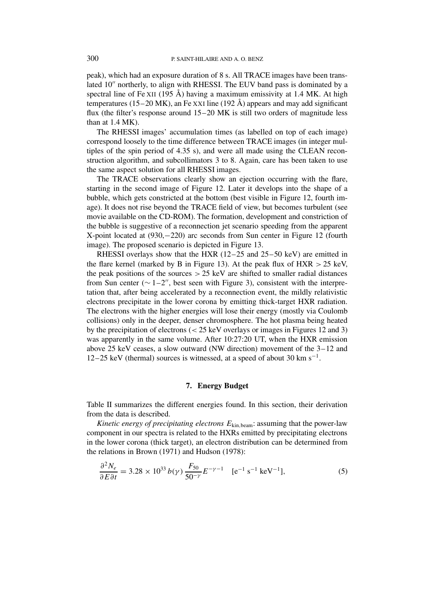peak), which had an exposure duration of 8 s. All TRACE images have been translated 10" northerly, to align with RHESSI. The EUV band pass is dominated by a spectral line of Fe XII (195 Å) having a maximum emissivity at 1.4 MK. At high temperatures (15–20 MK), an Fe XXI line (192 Å) appears and may add significant flux (the filter's response around 15–20 MK is still two orders of magnitude less than at 1.4 MK).

The RHESSI images' accumulation times (as labelled on top of each image) correspond loosely to the time difference between TRACE images (in integer multiples of the spin period of 4.35 s), and were all made using the CLEAN reconstruction algorithm, and subcollimators 3 to 8. Again, care has been taken to use the same aspect solution for all RHESSI images.

The TRACE observations clearly show an ejection occurring with the flare, starting in the second image of Figure 12. Later it develops into the shape of a bubble, which gets constricted at the bottom (best visible in Figure 12, fourth image). It does not rise beyond the TRACE field of view, but becomes turbulent (see movie available on the CD-ROM). The formation, development and constriction of the bubble is suggestive of a reconnection jet scenario speeding from the apparent X-point located at (930,−220) arc seconds from Sun center in Figure 12 (fourth image). The proposed scenario is depicted in Figure 13.

RHESSI overlays show that the HXR (12–25 and 25–50 keV) are emitted in the flare kernel (marked by B in Figure 13). At the peak flux of HXR *>* 25 keV, the peak positions of the sources  $> 25$  keV are shifted to smaller radial distances from Sun center ( $\sim 1-2$ ", best seen with Figure 3), consistent with the interpretation that, after being accelerated by a reconnection event, the mildly relativistic electrons precipitate in the lower corona by emitting thick-target HXR radiation. The electrons with the higher energies will lose their energy (mostly via Coulomb collisions) only in the deeper, denser chromosphere. The hot plasma being heated by the precipitation of electrons (*<* 25 keV overlays or images in Figures 12 and 3) was apparently in the same volume. After 10:27:20 UT, when the HXR emission above 25 keV ceases, a slow outward (NW direction) movement of the 3–12 and 12–25 keV (thermal) sources is witnessed, at a speed of about 30 km s<sup>-1</sup>.

## **7. Energy Budget**

Table II summarizes the different energies found. In this section, their derivation from the data is described.

*Kinetic energy of precipitating electrons*  $E_{\text{kin, beam}}$ : assuming that the power-law component in our spectra is related to the HXRs emitted by precipitating electrons in the lower corona (thick target), an electron distribution can be determined from the relations in Brown (1971) and Hudson (1978):

$$
\frac{\partial^2 N_e}{\partial E \partial t} = 3.28 \times 10^{33} b(\gamma) \frac{F_{50}}{50^{-\gamma}} E^{-\gamma - 1} \quad \text{[e}^{-1} \text{ s}^{-1} \text{ keV}^{-1}\text{]},\tag{5}
$$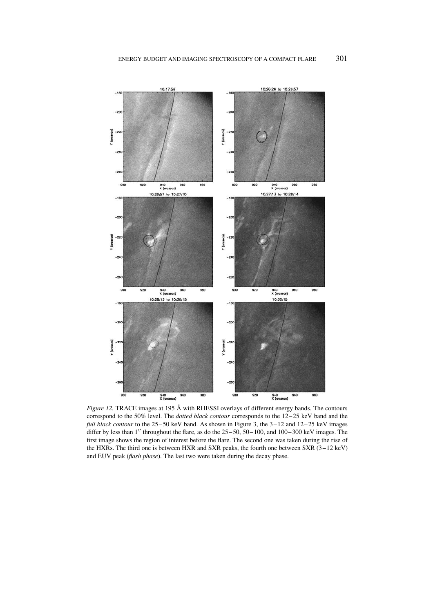

*Figure 12.* TRACE images at 195 Å with RHESSI overlays of different energy bands. The contours correspond to the 50% level. The *dotted black contour* corresponds to the 12–25 keV band and the *full black contour* to the 25–50 keV band. As shown in Figure 3, the 3–12 and 12–25 keV images differ by less than  $1''$  throughout the flare, as do the  $25-50$ ,  $50-100$ , and  $100-300$  keV images. The first image shows the region of interest before the flare. The second one was taken during the rise of the HXRs. The third one is between HXR and SXR peaks, the fourth one between SXR (3–12 keV) and EUV peak (*flash phase*). The last two were taken during the decay phase.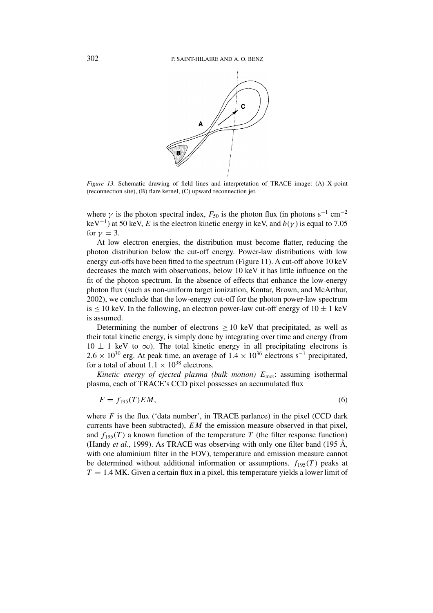

*Figure 13.* Schematic drawing of field lines and interpretation of TRACE image: (A) X-point (reconnection site), (B) flare kernel, (C) upward reconnection jet.

where  $\gamma$  is the photon spectral index,  $F_{50}$  is the photon flux (in photons s<sup>-1</sup> cm<sup>-2</sup> keV<sup>-1</sup>) at 50 keV, *E* is the electron kinetic energy in keV, and  $b(\gamma)$  is equal to 7.05 for  $\nu = 3$ .

At low electron energies, the distribution must become flatter, reducing the photon distribution below the cut-off energy. Power-law distributions with low energy cut-offs have been fitted to the spectrum (Figure 11). A cut-off above 10 keV decreases the match with observations, below 10 keV it has little influence on the fit of the photon spectrum. In the absence of effects that enhance the low-energy photon flux (such as non-uniform target ionization, Kontar, Brown, and McArthur, 2002), we conclude that the low-energy cut-off for the photon power-law spectrum is  $\leq 10$  keV. In the following, an electron power-law cut-off energy of  $10 \pm 1$  keV is assumed.

Determining the number of electrons  $\geq 10$  keV that precipitated, as well as their total kinetic energy, is simply done by integrating over time and energy (from  $10 \pm 1$  keV to  $\infty$ ). The total kinetic energy in all precipitating electrons is  $2.6 \times 10^{30}$  erg. At peak time, an average of  $1.4 \times 10^{36}$  electrons s<sup>-1</sup> precipitated, for a total of about  $1.1 \times 10^{38}$  electrons.

*Kinetic energy of ejected plasma (bulk motion)*  $E_{\text{mot}}$ : assuming isothermal plasma, each of TRACE's CCD pixel possesses an accumulated flux

$$
F = f_{195}(T)EM,
$$
\n<sup>(6)</sup>

where  $F$  is the flux ('data number', in TRACE parlance) in the pixel (CCD dark currents have been subtracted), *EM* the emission measure observed in that pixel, and  $f_{195}(T)$  a known function of the temperature T (the filter response function) (Handy *et al.*, 1999). As TRACE was observing with only one filter band (195 Å, with one aluminium filter in the FOV), temperature and emission measure cannot be determined without additional information or assumptions.  $f_{195}(T)$  peaks at  $T = 1.4$  MK. Given a certain flux in a pixel, this temperature yields a lower limit of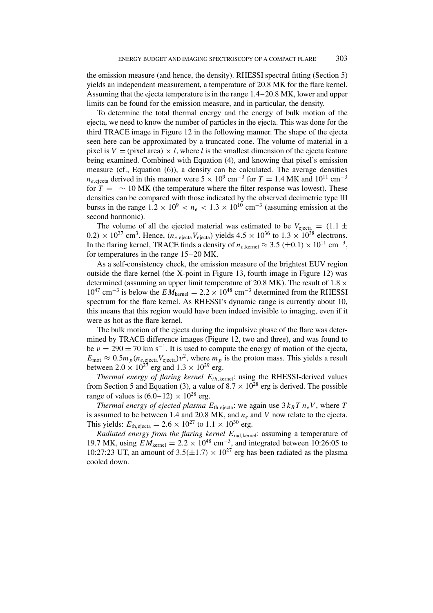the emission measure (and hence, the density). RHESSI spectral fitting (Section 5) yields an independent measurement, a temperature of 20.8 MK for the flare kernel. Assuming that the ejecta temperature is in the range 1.4–20.8 MK, lower and upper limits can be found for the emission measure, and in particular, the density.

To determine the total thermal energy and the energy of bulk motion of the ejecta, we need to know the number of particles in the ejecta. This was done for the third TRACE image in Figure 12 in the following manner. The shape of the ejecta seen here can be approximated by a truncated cone. The volume of material in a pixel is  $V = (pixel \ area) \times l$ , where *l* is the smallest dimension of the ejecta feature being examined. Combined with Equation (4), and knowing that pixel's emission measure (cf., Equation (6)), a density can be calculated. The average densities  $n_{e,\text{ejecta}}$  derived in this manner were  $5 \times 10^9$  cm<sup>-3</sup> for  $T = 1.4$  MK and  $10^{11}$  cm<sup>-3</sup> for  $T = \sim 10$  MK (the temperature where the filter response was lowest). These densities can be compared with those indicated by the observed decimetric type III bursts in the range  $1.2 \times 10^9 < n_e < 1.3 \times 10^{10}$  cm<sup>-3</sup> (assuming emission at the second harmonic).

The volume of all the ejected material was estimated to be  $V_{\text{ejecta}} = (1.1 \pm 1.1)$  $(0.2) \times 10^{27}$  cm<sup>3</sup>. Hence,  $(n_e)$ <sub>e,ejecta</sub> $V$ <sub>ejecta</sub>) yields  $4.5 \times 10^{36}$  to  $1.3 \times 10^{38}$  electrons. In the flaring kernel, TRACE finds a density of  $n_{e,\text{kernel}} \approx 3.5 \, (\pm 0.1) \times 10^{11} \, \text{cm}^{-3}$ , for temperatures in the range 15–20 MK.

As a self-consistency check, the emission measure of the brightest EUV region outside the flare kernel (the X-point in Figure 13, fourth image in Figure 12) was determined (assuming an upper limit temperature of 20.8 MK). The result of 1*.*8×  $10^{47}$  cm<sup>-3</sup> is below the  $EM_{\text{kernel}} = 2.2 \times 10^{48}$  cm<sup>-3</sup> determined from the RHESSI spectrum for the flare kernel. As RHESSI's dynamic range is currently about 10, this means that this region would have been indeed invisible to imaging, even if it were as hot as the flare kernel.

The bulk motion of the ejecta during the impulsive phase of the flare was determined by TRACE difference images (Figure 12, two and three), and was found to be  $v = 290 \pm 70$  km s<sup>-1</sup>. It is used to compute the energy of motion of the ejecta,  $E_{\text{mot}} \approx 0.5 m_p(n_e, e^{i \cot \theta})v^2$ , where  $m_p$  is the proton mass. This yields a result between  $2.0 \times 10^{27}$  erg and  $1.3 \times 10^{29}$  erg.

*Thermal energy of flaring kernel Eth,*kernel: using the RHESSI-derived values from Section 5 and Equation (3), a value of  $8.7 \times 10^{28}$  erg is derived. The possible range of values is  $(6.0-12) \times 10^{28}$  erg.

*Thermal energy of ejected plasma*  $E_{th,ejecta}$ : we again use  $3k_B T n_e V$ , where T is assumed to be between 1.4 and 20.8 MK, and  $n_e$  and *V* now relate to the ejecta. This yields:  $E_{\text{th.eiecta}} = 2.6 \times 10^{27}$  to  $1.1 \times 10^{30}$  erg.

*Radiated energy from the flaring kernel E*rad*,*kernel: assuming a temperature of 19.7 MK, using  $EM_{\text{kernel}} = 2.2 \times 10^{48} \text{ cm}^{-3}$ , and integrated between 10:26:05 to 10:27:23 UT, an amount of  $3.5(\pm 1.7) \times 10^{27}$  erg has been radiated as the plasma cooled down.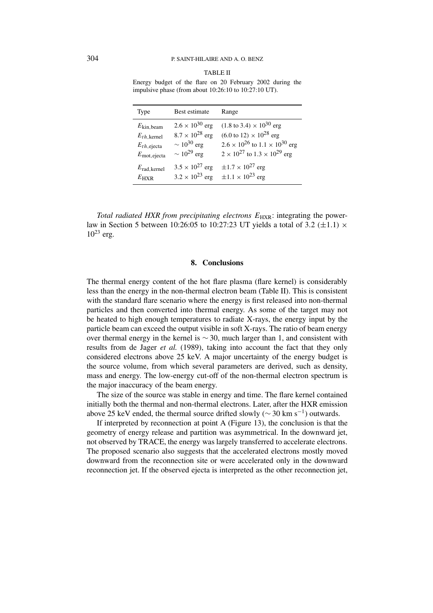| ВI<br>г<br>L. |
|---------------|
|---------------|

Energy budget of the flare on 20 February 2002 during the impulsive phase (from about 10:26:10 to 10:27:10 UT).

| Type                                                                                                   | Best estimate                                                                                    | Range                                                                                                                                                                                                         |
|--------------------------------------------------------------------------------------------------------|--------------------------------------------------------------------------------------------------|---------------------------------------------------------------------------------------------------------------------------------------------------------------------------------------------------------------|
| $E_{\text{kin,beam}}$<br>$E_{th, \text{kernel}}$<br>$E_{th, \text{ejecta}}$<br>$E_{\text{mot,ejecta}}$ | $2.6 \times 10^{30}$ erg<br>$8.7 \times 10^{28}$ erg<br>$\sim 10^{30}$ erg<br>$\sim 10^{29}$ erg | $(1.8 \text{ to } 3.4) \times 10^{30} \text{ erg}$<br>$(6.0 \text{ to } 12) \times 10^{28} \text{ erg}$<br>$2.6 \times 10^{26}$ to $1.1 \times 10^{30}$ erg<br>$2 \times 10^{27}$ to $1.3 \times 10^{29}$ erg |
| $E_{\text{rad,kernel}}$<br>$E_{\rm HXR}$                                                               | $3.5 \times 10^{27}$ erg                                                                         | $\pm 1.7 \times 10^{27}$ erg<br>$3.2 \times 10^{23}$ erg $\pm 1.1 \times 10^{23}$ erg                                                                                                                         |

*Total radiated HXR from precipitating electrons*  $E_{HXR}$ : integrating the powerlaw in Section 5 between 10:26:05 to 10:27:23 UT yields a total of 3.2  $(\pm 1.1) \times$  $10^{23}$  erg.

#### **8. Conclusions**

The thermal energy content of the hot flare plasma (flare kernel) is considerably less than the energy in the non-thermal electron beam (Table II). This is consistent with the standard flare scenario where the energy is first released into non-thermal particles and then converted into thermal energy. As some of the target may not be heated to high enough temperatures to radiate X-rays, the energy input by the particle beam can exceed the output visible in soft X-rays. The ratio of beam energy over thermal energy in the kernel is  $\sim$  30, much larger than 1, and consistent with results from de Jager *et al.* (1989), taking into account the fact that they only considered electrons above 25 keV. A major uncertainty of the energy budget is the source volume, from which several parameters are derived, such as density, mass and energy. The low-energy cut-off of the non-thermal electron spectrum is the major inaccuracy of the beam energy.

The size of the source was stable in energy and time. The flare kernel contained initially both the thermal and non-thermal electrons. Later, after the HXR emission above 25 keV ended, the thermal source drifted slowly ( $\sim$  30 km s<sup>-1</sup>) outwards.

If interpreted by reconnection at point A (Figure 13), the conclusion is that the geometry of energy release and partition was asymmetrical. In the downward jet, not observed by TRACE, the energy was largely transferred to accelerate electrons. The proposed scenario also suggests that the accelerated electrons mostly moved downward from the reconnection site or were accelerated only in the downward reconnection jet. If the observed ejecta is interpreted as the other reconnection jet,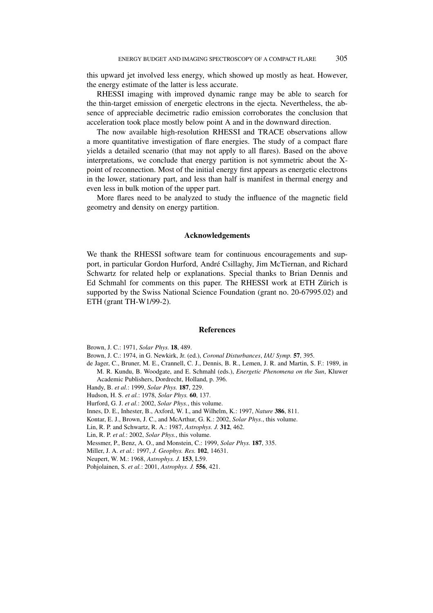this upward jet involved less energy, which showed up mostly as heat. However, the energy estimate of the latter is less accurate.

RHESSI imaging with improved dynamic range may be able to search for the thin-target emission of energetic electrons in the ejecta. Nevertheless, the absence of appreciable decimetric radio emission corroborates the conclusion that acceleration took place mostly below point A and in the downward direction.

The now available high-resolution RHESSI and TRACE observations allow a more quantitative investigation of flare energies. The study of a compact flare yields a detailed scenario (that may not apply to all flares). Based on the above interpretations, we conclude that energy partition is not symmetric about the Xpoint of reconnection. Most of the initial energy first appears as energetic electrons in the lower, stationary part, and less than half is manifest in thermal energy and even less in bulk motion of the upper part.

More flares need to be analyzed to study the influence of the magnetic field geometry and density on energy partition.

#### **Acknowledgements**

We thank the RHESSI software team for continuous encouragements and support, in particular Gordon Hurford, André Csillaghy, Jim McTiernan, and Richard Schwartz for related help or explanations. Special thanks to Brian Dennis and Ed Schmahl for comments on this paper. The RHESSI work at ETH Zürich is supported by the Swiss National Science Foundation (grant no. 20-67995.02) and ETH (grant TH-W1/99-2).

#### **References**

Brown, J. C.: 1971, *Solar Phys.* **18**, 489.

Brown, J. C.: 1974, in G. Newkirk, Jr. (ed.), *Coronal Disturbances*, *IAU Symp.* **57**, 395.

- de Jager, C., Bruner, M. E., Crannell, C. J., Dennis, B. R., Lemen, J. R. and Martin, S. F.: 1989, in M. R. Kundu, B. Woodgate, and E. Schmahl (eds.), *Energetic Phenomena on the Sun*, Kluwer Academic Publishers, Dordrecht, Holland, p. 396.
- Handy, B. *et al.*: 1999, *Solar Phys.* **187**, 229.
- Hudson, H. S. *et al.*: 1978, *Solar Phys.* **60**, 137.

Hurford, G. J. *et al.*: 2002, *Solar Phys.*, this volume.

Innes, D. E., Inhester, B., Axford, W. I., and Wilhelm, K.: 1997, *Nature* **386**, 811.

Kontar, E. J., Brown, J. C., and McArthur, G. K.: 2002, *Solar Phys.*, this volume.

Lin, R. P. and Schwartz, R. A.: 1987, *Astrophys. J.* **312**, 462.

Lin, R. P. *et al.*: 2002, *Solar Phys.*, this volume.

Messmer, P., Benz, A. O., and Monstein, C.: 1999, *Solar Phys.* **187**, 335.

Miller, J. A. *et al.*: 1997, *J. Geophys. Res.* **102**, 14631.

Neupert, W. M.: 1968, *Astrophys. J.* **153**, L59.

Pohjolainen, S. *et al.*: 2001, *Astrophys. J.* **556**, 421.